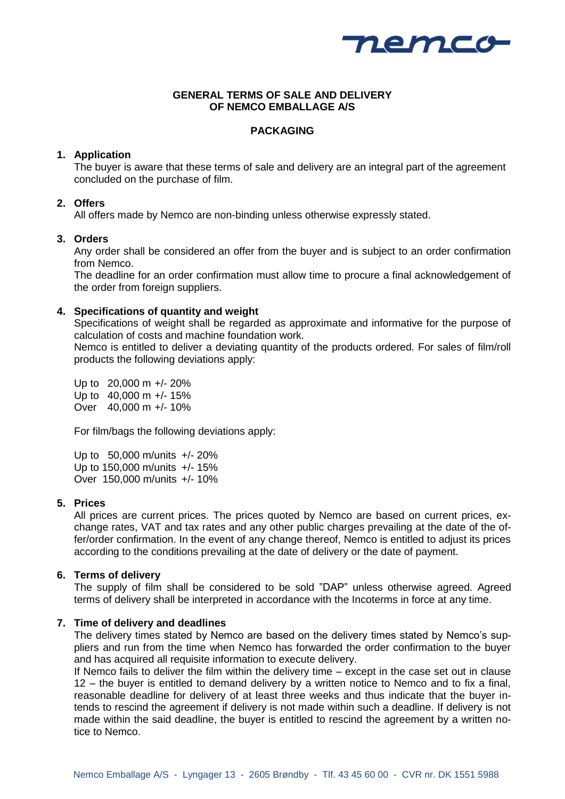

## **GENERAL TERMS OF SALE AND DELIVERY OF NEMCO EMBALLAGE A/S**

# **PACKAGING**

## **1. Application**

The buyer is aware that these terms of sale and delivery are an integral part of the agreement concluded on the purchase of film.

# **2. Offers**

All offers made by Nemco are non-binding unless otherwise expressly stated.

## **3. Orders**

Any order shall be considered an offer from the buyer and is subject to an order confirmation from Nemco.

The deadline for an order confirmation must allow time to procure a final acknowledgement of the order from foreign suppliers.

## **4. Specifications of quantity and weight**

Specifications of weight shall be regarded as approximate and informative for the purpose of calculation of costs and machine foundation work.

Nemco is entitled to deliver a deviating quantity of the products ordered. For sales of film/roll products the following deviations apply:

Up to 20,000 m +/- 20% Up to 40,000 m +/- 15% Over 40,000 m +/- 10%

For film/bags the following deviations apply:

Up to 50,000 m/units +/- 20% Up to 150,000 m/units +/- 15% Over 150,000 m/units +/- 10%

### **5. Prices**

All prices are current prices. The prices quoted by Nemco are based on current prices, exchange rates, VAT and tax rates and any other public charges prevailing at the date of the offer/order confirmation. In the event of any change thereof, Nemco is entitled to adjust its prices according to the conditions prevailing at the date of delivery or the date of payment.

### **6. Terms of delivery**

The supply of film shall be considered to be sold "DAP" unless otherwise agreed. Agreed terms of delivery shall be interpreted in accordance with the Incoterms in force at any time.

### **7. Time of delivery and deadlines**

The delivery times stated by Nemco are based on the delivery times stated by Nemco's suppliers and run from the time when Nemco has forwarded the order confirmation to the buyer and has acquired all requisite information to execute delivery.

If Nemco fails to deliver the film within the delivery time – except in the case set out in clause 12 – the buyer is entitled to demand delivery by a written notice to Nemco and to fix a final, reasonable deadline for delivery of at least three weeks and thus indicate that the buyer intends to rescind the agreement if delivery is not made within such a deadline. If delivery is not made within the said deadline, the buyer is entitled to rescind the agreement by a written notice to Nemco.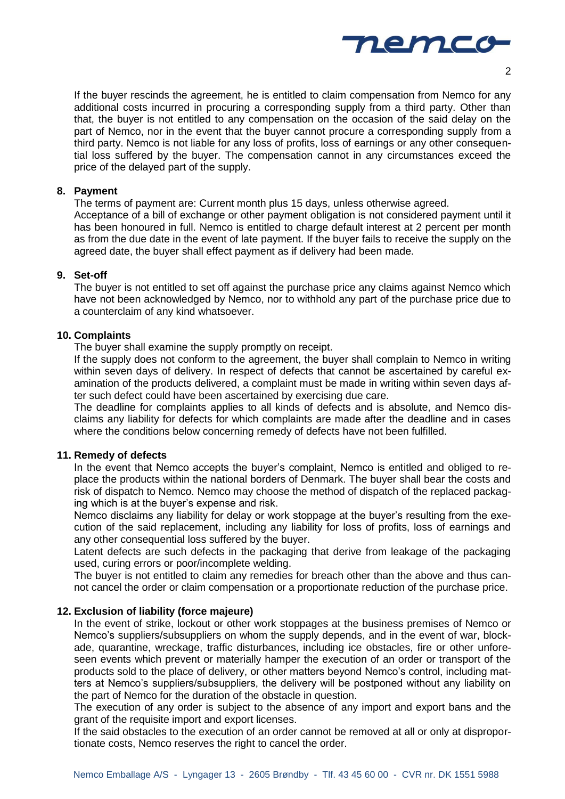

If the buyer rescinds the agreement, he is entitled to claim compensation from Nemco for any additional costs incurred in procuring a corresponding supply from a third party. Other than that, the buyer is not entitled to any compensation on the occasion of the said delay on the part of Nemco, nor in the event that the buyer cannot procure a corresponding supply from a third party. Nemco is not liable for any loss of profits, loss of earnings or any other consequential loss suffered by the buyer. The compensation cannot in any circumstances exceed the price of the delayed part of the supply.

#### **8. Payment**

The terms of payment are: Current month plus 15 days, unless otherwise agreed. Acceptance of a bill of exchange or other payment obligation is not considered payment until it has been honoured in full. Nemco is entitled to charge default interest at 2 percent per month as from the due date in the event of late payment. If the buyer fails to receive the supply on the agreed date, the buyer shall effect payment as if delivery had been made.

## **9. Set-off**

The buyer is not entitled to set off against the purchase price any claims against Nemco which have not been acknowledged by Nemco, nor to withhold any part of the purchase price due to a counterclaim of any kind whatsoever.

#### **10. Complaints**

The buyer shall examine the supply promptly on receipt.

If the supply does not conform to the agreement, the buyer shall complain to Nemco in writing within seven days of delivery. In respect of defects that cannot be ascertained by careful examination of the products delivered, a complaint must be made in writing within seven days after such defect could have been ascertained by exercising due care.

The deadline for complaints applies to all kinds of defects and is absolute, and Nemco disclaims any liability for defects for which complaints are made after the deadline and in cases where the conditions below concerning remedy of defects have not been fulfilled.

#### **11. Remedy of defects**

In the event that Nemco accepts the buyer's complaint, Nemco is entitled and obliged to replace the products within the national borders of Denmark. The buyer shall bear the costs and risk of dispatch to Nemco. Nemco may choose the method of dispatch of the replaced packaging which is at the buyer's expense and risk.

Nemco disclaims any liability for delay or work stoppage at the buyer's resulting from the execution of the said replacement, including any liability for loss of profits, loss of earnings and any other consequential loss suffered by the buyer.

Latent defects are such defects in the packaging that derive from leakage of the packaging used, curing errors or poor/incomplete welding.

The buyer is not entitled to claim any remedies for breach other than the above and thus cannot cancel the order or claim compensation or a proportionate reduction of the purchase price.

## **12. Exclusion of liability (force majeure)**

In the event of strike, lockout or other work stoppages at the business premises of Nemco or Nemco's suppliers/subsuppliers on whom the supply depends, and in the event of war, blockade, quarantine, wreckage, traffic disturbances, including ice obstacles, fire or other unforeseen events which prevent or materially hamper the execution of an order or transport of the products sold to the place of delivery, or other matters beyond Nemco's control, including matters at Nemco's suppliers/subsuppliers, the delivery will be postponed without any liability on the part of Nemco for the duration of the obstacle in question.

The execution of any order is subject to the absence of any import and export bans and the grant of the requisite import and export licenses.

If the said obstacles to the execution of an order cannot be removed at all or only at disproportionate costs, Nemco reserves the right to cancel the order.